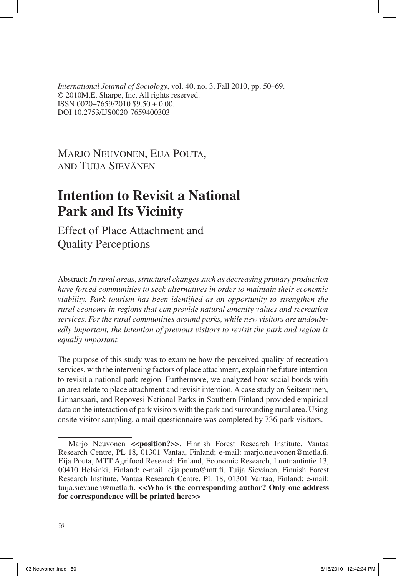*International Journal of Sociology*, vol. 40, no. 3, Fall 2010, pp. 50–69. © 2010M.E. Sharpe, Inc. All rights reserved. ISSN 0020–7659/2010 \$9.50 + 0.00. DOI 10.2753/IJS0020-7659400303

Marjo Neuvonen, Eija Pouta, and Tuija Sievänen

# **Intention to Revisit a National Park and Its Vicinity**

Effect of Place Attachment and Quality Perceptions

Abstract: *In rural areas, structural changes such as decreasing primary production have forced communities to seek alternatives in order to maintain their economic viability. Park tourism has been identified as an opportunity to strengthen the rural economy in regions that can provide natural amenity values and recreation services. For the rural communities around parks, while new visitors are undoubtedly important, the intention of previous visitors to revisit the park and region is equally important.*

The purpose of this study was to examine how the perceived quality of recreation services, with the intervening factors of place attachment, explain the future intention to revisit a national park region. Furthermore, we analyzed how social bonds with an area relate to place attachment and revisit intention. A case study on Seitseminen, Linnansaari, and Repovesi National Parks in Southern Finland provided empirical data on the interaction of park visitors with the park and surrounding rural area. Using onsite visitor sampling, a mail questionnaire was completed by 736 park visitors.

Marjo Neuvonen << position?>>, Finnish Forest Research Institute, Vantaa Research Centre, PL 18, 01301 Vantaa, Finland; e-mail: marjo.neuvonen@metla.fi. Eija Pouta, MTT Agrifood Research Finland, Economic Research, Luutnantintie 13, 00410 Helsinki, Finland; e-mail: eija.pouta@mtt.fi. Tuija Sievänen, Finnish Forest Research Institute, Vantaa Research Centre, PL 18, 01301 Vantaa, Finland; e-mail: tuija.sievanen@metla.fi. **<<Who is the corresponding author? Only one address for correspondence will be printed here>>**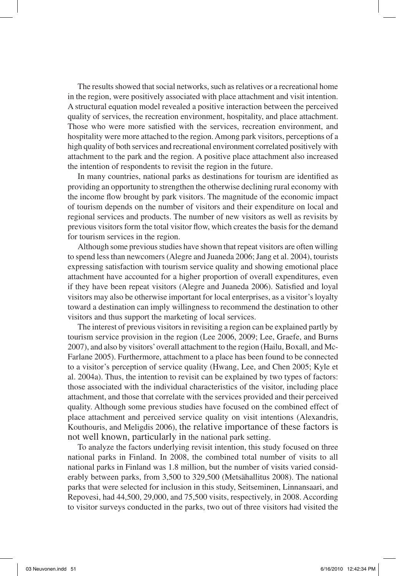The results showed that social networks, such as relatives or a recreational home in the region, were positively associated with place attachment and visit intention. A structural equation model revealed a positive interaction between the perceived quality of services, the recreation environment, hospitality, and place attachment. Those who were more satisfied with the services, recreation environment, and hospitality were more attached to the region. Among park visitors, perceptions of a high quality of both services and recreational environment correlated positively with attachment to the park and the region. A positive place attachment also increased the intention of respondents to revisit the region in the future.

In many countries, national parks as destinations for tourism are identified as providing an opportunity to strengthen the otherwise declining rural economy with the income flow brought by park visitors. The magnitude of the economic impact of tourism depends on the number of visitors and their expenditure on local and regional services and products. The number of new visitors as well as revisits by previous visitors form the total visitor flow, which creates the basis for the demand for tourism services in the region.

Although some previous studies have shown that repeat visitors are often willing to spend less than newcomers (Alegre and Juaneda 2006; Jang et al. 2004), tourists expressing satisfaction with tourism service quality and showing emotional place attachment have accounted for a higher proportion of overall expenditures, even if they have been repeat visitors (Alegre and Juaneda 2006). Satisfied and loyal visitors may also be otherwise important for local enterprises, as a visitor's loyalty toward a destination can imply willingness to recommend the destination to other visitors and thus support the marketing of local services.

The interest of previous visitors in revisiting a region can be explained partly by tourism service provision in the region (Lee 2006, 2009; Lee, Graefe, and Burns 2007), and also by visitors' overall attachment to the region (Hailu, Boxall, and Mc-Farlane 2005). Furthermore, attachment to a place has been found to be connected to a visitor's perception of service quality (Hwang, Lee, and Chen 2005; Kyle et al. 2004a). Thus, the intention to revisit can be explained by two types of factors: those associated with the individual characteristics of the visitor, including place attachment, and those that correlate with the services provided and their perceived quality. Although some previous studies have focused on the combined effect of place attachment and perceived service quality on visit intentions (Alexandris, Kouthouris, and Meligdis 2006), the relative importance of these factors is not well known, particularly in the national park setting.

To analyze the factors underlying revisit intention, this study focused on three national parks in Finland. In 2008, the combined total number of visits to all national parks in Finland was 1.8 million, but the number of visits varied considerably between parks, from 3,500 to 329,500 (Metsähallitus 2008). The national parks that were selected for inclusion in this study, Seitseminen, Linnansaari, and Repovesi, had 44,500, 29,000, and 75,500 visits, respectively, in 2008. According to visitor surveys conducted in the parks, two out of three visitors had visited the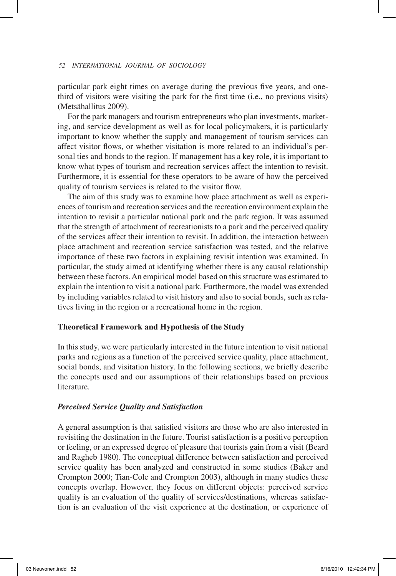particular park eight times on average during the previous five years, and onethird of visitors were visiting the park for the first time (i.e., no previous visits) (Metsähallitus 2009).

For the park managers and tourism entrepreneurs who plan investments, marketing, and service development as well as for local policymakers, it is particularly important to know whether the supply and management of tourism services can affect visitor flows, or whether visitation is more related to an individual's personal ties and bonds to the region. If management has a key role, it is important to know what types of tourism and recreation services affect the intention to revisit. Furthermore, it is essential for these operators to be aware of how the perceived quality of tourism services is related to the visitor flow.

The aim of this study was to examine how place attachment as well as experiences of tourism and recreation services and the recreation environment explain the intention to revisit a particular national park and the park region. It was assumed that the strength of attachment of recreationists to a park and the perceived quality of the services affect their intention to revisit. In addition, the interaction between place attachment and recreation service satisfaction was tested, and the relative importance of these two factors in explaining revisit intention was examined. In particular, the study aimed at identifying whether there is any causal relationship between these factors. An empirical model based on this structure was estimated to explain the intention to visit a national park. Furthermore, the model was extended by including variables related to visit history and also to social bonds, such as relatives living in the region or a recreational home in the region.

# **Theoretical Framework and Hypothesis of the Study**

In this study, we were particularly interested in the future intention to visit national parks and regions as a function of the perceived service quality, place attachment, social bonds, and visitation history. In the following sections, we briefly describe the concepts used and our assumptions of their relationships based on previous **literature** 

#### *Perceived Service Quality and Satisfaction*

A general assumption is that satisfied visitors are those who are also interested in revisiting the destination in the future. Tourist satisfaction is a positive perception or feeling, or an expressed degree of pleasure that tourists gain from a visit (Beard and Ragheb 1980). The conceptual difference between satisfaction and perceived service quality has been analyzed and constructed in some studies (Baker and Crompton 2000; Tian-Cole and Crompton 2003), although in many studies these concepts overlap. However, they focus on different objects: perceived service quality is an evaluation of the quality of services/destinations, whereas satisfaction is an evaluation of the visit experience at the destination, or experience of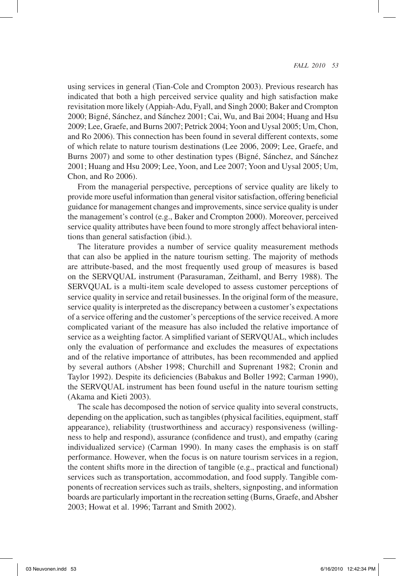using services in general (Tian-Cole and Crompton 2003). Previous research has indicated that both a high perceived service quality and high satisfaction make revisitation more likely (Appiah-Adu, Fyall, and Singh 2000; Baker and Crompton 2000; Bigné, Sánchez, and Sánchez 2001; Cai, Wu, and Bai 2004; Huang and Hsu 2009; Lee, Graefe, and Burns 2007; Petrick 2004; Yoon and Uysal 2005; Um, Chon, and Ro 2006). This connection has been found in several different contexts, some of which relate to nature tourism destinations (Lee 2006, 2009; Lee, Graefe, and Burns 2007) and some to other destination types (Bigné, Sánchez, and Sánchez 2001; Huang and Hsu 2009; Lee, Yoon, and Lee 2007; Yoon and Uysal 2005; Um, Chon, and Ro 2006).

From the managerial perspective, perceptions of service quality are likely to provide more useful information than general visitor satisfaction, offering beneficial guidance for management changes and improvements, since service quality is under the management's control (e.g., Baker and Crompton 2000). Moreover, perceived service quality attributes have been found to more strongly affect behavioral intentions than general satisfaction (ibid.).

The literature provides a number of service quality measurement methods that can also be applied in the nature tourism setting. The majority of methods are attribute-based, and the most frequently used group of measures is based on the SERVQUAL instrument (Parasuraman, Zeithaml, and Berry 1988). The SERVQUAL is a multi-item scale developed to assess customer perceptions of service quality in service and retail businesses. In the original form of the measure, service quality is interpreted as the discrepancy between a customer's expectations of a service offering and the customer's perceptions of the service received. A more complicated variant of the measure has also included the relative importance of service as a weighting factor. A simplified variant of SERVQUAL, which includes only the evaluation of performance and excludes the measures of expectations and of the relative importance of attributes, has been recommended and applied by several authors (Absher 1998; Churchill and Suprenant 1982; Cronin and Taylor 1992). Despite its deficiencies (Babakus and Boller 1992; Carman 1990), the SERVQUAL instrument has been found useful in the nature tourism setting (Akama and Kieti 2003).

The scale has decomposed the notion of service quality into several constructs, depending on the application, such as tangibles (physical facilities, equipment, staff appearance), reliability (trustworthiness and accuracy) responsiveness (willingness to help and respond), assurance (confidence and trust), and empathy (caring individualized service) (Carman 1990). In many cases the emphasis is on staff performance. However, when the focus is on nature tourism services in a region, the content shifts more in the direction of tangible (e.g., practical and functional) services such as transportation, accommodation, and food supply. Tangible components of recreation services such as trails, shelters, signposting, and information boards are particularly important in the recreation setting (Burns, Graefe, and Absher 2003; Howat et al. 1996; Tarrant and Smith 2002).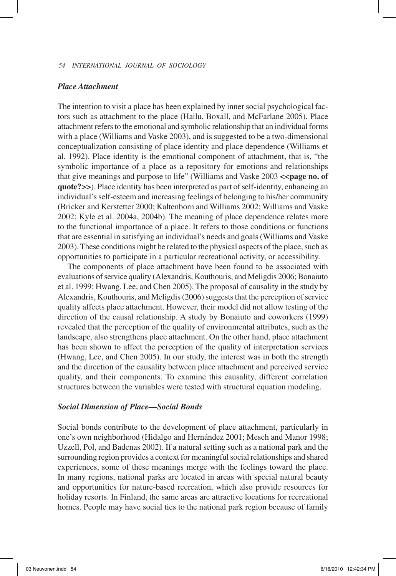# *Place Attachment*

The intention to visit a place has been explained by inner social psychological factors such as attachment to the place (Hailu, Boxall, and McFarlane 2005). Place attachment refers to the emotional and symbolic relationship that an individual forms with a place (Williams and Vaske 2003), and is suggested to be a two-dimensional conceptualization consisting of place identity and place dependence (Williams et al. 1992). Place identity is the emotional component of attachment, that is, "the symbolic importance of a place as a repository for emotions and relationships that give meanings and purpose to life" (Williams and Vaske 2003 << page no. of **quote?>>**). Place identity has been interpreted as part of self-identity, enhancing an individual's self-esteem and increasing feelings of belonging to his/her community (Bricker and Kerstetter 2000; Kaltenborn and Williams 2002; Williams and Vaske 2002; Kyle et al. 2004a, 2004b). The meaning of place dependence relates more to the functional importance of a place. It refers to those conditions or functions that are essential in satisfying an individual's needs and goals (Williams and Vaske 2003). These conditions might be related to the physical aspects of the place, such as opportunities to participate in a particular recreational activity, or accessibility.

The components of place attachment have been found to be associated with evaluations of service quality (Alexandris, Kouthouris, and Meligdis 2006; Bonaiuto et al. 1999; Hwang. Lee, and Chen 2005). The proposal of causality in the study by Alexandris, Kouthouris, and Meligdis (2006) suggests that the perception of service quality affects place attachment. However, their model did not allow testing of the direction of the causal relationship. A study by Bonaiuto and coworkers (1999) revealed that the perception of the quality of environmental attributes, such as the landscape, also strengthens place attachment. On the other hand, place attachment has been shown to affect the perception of the quality of interpretation services (Hwang, Lee, and Chen 2005). In our study, the interest was in both the strength and the direction of the causality between place attachment and perceived service quality, and their components. To examine this causality, different correlation structures between the variables were tested with structural equation modeling.

## *Social Dimension of Place—Social Bonds*

Social bonds contribute to the development of place attachment, particularly in one's own neighborhood (Hidalgo and Hernández 2001; Mesch and Manor 1998; Uzzell, Pol, and Badenas 2002). If a natural setting such as a national park and the surrounding region provides a context for meaningful social relationships and shared experiences, some of these meanings merge with the feelings toward the place. In many regions, national parks are located in areas with special natural beauty and opportunities for nature-based recreation, which also provide resources for holiday resorts. In Finland, the same areas are attractive locations for recreational homes. People may have social ties to the national park region because of family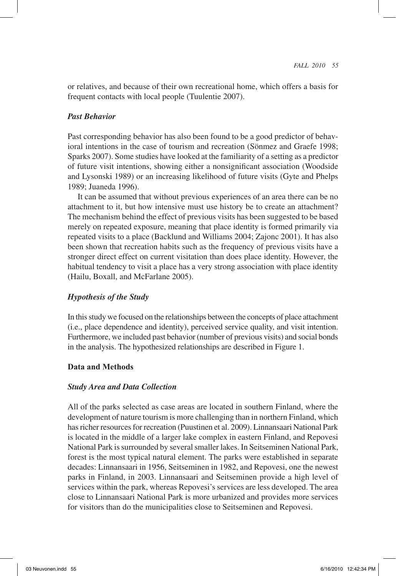or relatives, and because of their own recreational home, which offers a basis for frequent contacts with local people (Tuulentie 2007).

# *Past Behavior*

Past corresponding behavior has also been found to be a good predictor of behavioral intentions in the case of tourism and recreation (Sönmez and Graefe 1998; Sparks 2007). Some studies have looked at the familiarity of a setting as a predictor of future visit intentions, showing either a nonsignificant association (Woodside and Lysonski 1989) or an increasing likelihood of future visits (Gyte and Phelps 1989; Juaneda 1996).

It can be assumed that without previous experiences of an area there can be no attachment to it, but how intensive must use history be to create an attachment? The mechanism behind the effect of previous visits has been suggested to be based merely on repeated exposure, meaning that place identity is formed primarily via repeated visits to a place (Backlund and Williams 2004; Zajonc 2001). It has also been shown that recreation habits such as the frequency of previous visits have a stronger direct effect on current visitation than does place identity. However, the habitual tendency to visit a place has a very strong association with place identity (Hailu, Boxall, and McFarlane 2005).

## *Hypothesis of the Study*

In this study we focused on the relationships between the concepts of place attachment (i.e., place dependence and identity), perceived service quality, and visit intention. Furthermore, we included past behavior (number of previous visits) and social bonds in the analysis. The hypothesized relationships are described in Figure 1.

### **Data and Methods**

#### *Study Area and Data Collection*

All of the parks selected as case areas are located in southern Finland, where the development of nature tourism is more challenging than in northern Finland, which has richer resources for recreation (Puustinen et al. 2009). Linnansaari National Park is located in the middle of a larger lake complex in eastern Finland, and Repovesi National Park is surrounded by several smaller lakes. In Seitseminen National Park, forest is the most typical natural element. The parks were established in separate decades: Linnansaari in 1956, Seitseminen in 1982, and Repovesi, one the newest parks in Finland, in 2003. Linnansaari and Seitseminen provide a high level of services within the park, whereas Repovesi's services are less developed. The area close to Linnansaari National Park is more urbanized and provides more services for visitors than do the municipalities close to Seitseminen and Repovesi.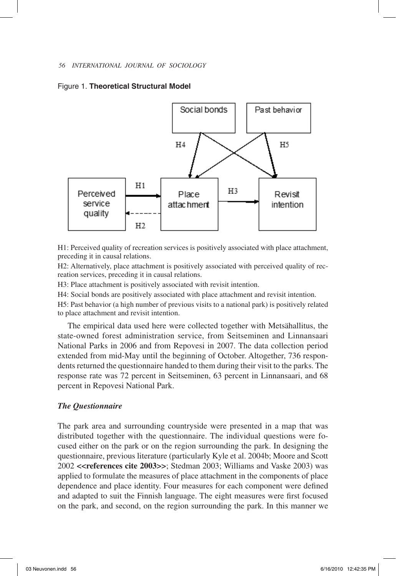



H1: Perceived quality of recreation services is positively associated with place attachment, preceding it in causal relations.

H2: Alternatively, place attachment is positively associated with perceived quality of recreation services, preceding it in causal relations.

H3: Place attachment is positively associated with revisit intention.

H4: Social bonds are positively associated with place attachment and revisit intention.

H5: Past behavior (a high number of previous visits to a national park) is positively related to place attachment and revisit intention.

The empirical data used here were collected together with Metsähallitus, the state-owned forest administration service, from Seitseminen and Linnansaari National Parks in 2006 and from Repovesi in 2007. The data collection period extended from mid-May until the beginning of October. Altogether, 736 respondents returned the questionnaire handed to them during their visit to the parks. The response rate was 72 percent in Seitseminen, 63 percent in Linnansaari, and 68 percent in Repovesi National Park.

## *The Questionnaire*

The park area and surrounding countryside were presented in a map that was distributed together with the questionnaire. The individual questions were focused either on the park or on the region surrounding the park. In designing the questionnaire, previous literature (particularly Kyle et al. 2004b; Moore and Scott 2002 **<<references cite 2003>>**; Stedman 2003; Williams and Vaske 2003) was applied to formulate the measures of place attachment in the components of place dependence and place identity. Four measures for each component were defined and adapted to suit the Finnish language. The eight measures were first focused on the park, and second, on the region surrounding the park. In this manner we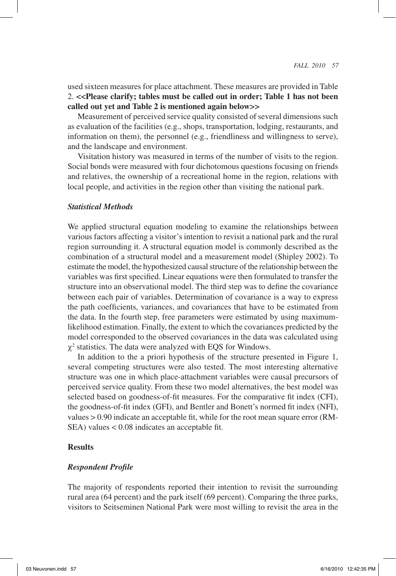used sixteen measures for place attachment. These measures are provided in Table 2. **<<Please clarify; tables must be called out in order; Table 1 has not been called out yet and Table 2 is mentioned again below>>**

Measurement of perceived service quality consisted of several dimensions such as evaluation of the facilities (e.g., shops, transportation, lodging, restaurants, and information on them), the personnel (e.g., friendliness and willingness to serve), and the landscape and environment.

Visitation history was measured in terms of the number of visits to the region. Social bonds were measured with four dichotomous questions focusing on friends and relatives, the ownership of a recreational home in the region, relations with local people, and activities in the region other than visiting the national park.

## *Statistical Methods*

We applied structural equation modeling to examine the relationships between various factors affecting a visitor's intention to revisit a national park and the rural region surrounding it. A structural equation model is commonly described as the combination of a structural model and a measurement model (Shipley 2002). To estimate the model, the hypothesized causal structure of the relationship between the variables was first specified. Linear equations were then formulated to transfer the structure into an observational model. The third step was to define the covariance between each pair of variables. Determination of covariance is a way to express the path coefficients, variances, and covariances that have to be estimated from the data. In the fourth step, free parameters were estimated by using maximumlikelihood estimation. Finally, the extent to which the covariances predicted by the model corresponded to the observed covariances in the data was calculated using  $\chi^2$  statistics. The data were analyzed with EQS for Windows.

In addition to the a priori hypothesis of the structure presented in Figure 1, several competing structures were also tested. The most interesting alternative structure was one in which place-attachment variables were causal precursors of perceived service quality. From these two model alternatives, the best model was selected based on goodness-of-fit measures. For the comparative fit index (CFI), the goodness-of-fit index (GFI), and Bentler and Bonett's normed fit index (NFI), values > 0.90 indicate an acceptable fit, while for the root mean square error (RM-SEA) values < 0.08 indicates an acceptable fit.

## **Results**

## *Respondent Profile*

The majority of respondents reported their intention to revisit the surrounding rural area (64 percent) and the park itself (69 percent). Comparing the three parks, visitors to Seitseminen National Park were most willing to revisit the area in the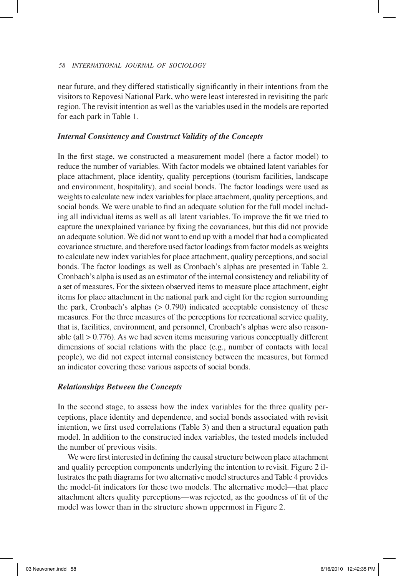near future, and they differed statistically significantly in their intentions from the visitors to Repovesi National Park, who were least interested in revisiting the park region. The revisit intention as well as the variables used in the models are reported for each park in Table 1.

## *Internal Consistency and Construct Validity of the Concepts*

In the first stage, we constructed a measurement model (here a factor model) to reduce the number of variables. With factor models we obtained latent variables for place attachment, place identity, quality perceptions (tourism facilities, landscape and environment, hospitality), and social bonds. The factor loadings were used as weights to calculate new index variables for place attachment, quality perceptions, and social bonds. We were unable to find an adequate solution for the full model including all individual items as well as all latent variables. To improve the fit we tried to capture the unexplained variance by fixing the covariances, but this did not provide an adequate solution. We did not want to end up with a model that had a complicated covariance structure, and therefore used factor loadings from factor models as weights to calculate new index variables for place attachment, quality perceptions, and social bonds. The factor loadings as well as Cronbach's alphas are presented in Table 2. Cronbach's alpha is used as an estimator of the internal consistency and reliability of a set of measures. For the sixteen observed items to measure place attachment, eight items for place attachment in the national park and eight for the region surrounding the park, Cronbach's alphas  $(> 0.790)$  indicated acceptable consistency of these measures. For the three measures of the perceptions for recreational service quality, that is, facilities, environment, and personnel, Cronbach's alphas were also reasonable (all  $> 0.776$ ). As we had seven items measuring various conceptually different dimensions of social relations with the place (e.g., number of contacts with local people), we did not expect internal consistency between the measures, but formed an indicator covering these various aspects of social bonds.

#### *Relationships Between the Concepts*

In the second stage, to assess how the index variables for the three quality perceptions, place identity and dependence, and social bonds associated with revisit intention, we first used correlations (Table 3) and then a structural equation path model. In addition to the constructed index variables, the tested models included the number of previous visits.

We were first interested in defining the causal structure between place attachment and quality perception components underlying the intention to revisit. Figure 2 illustrates the path diagrams for two alternative model structures and Table 4 provides the model-fit indicators for these two models. The alternative model—that place attachment alters quality perceptions—was rejected, as the goodness of fit of the model was lower than in the structure shown uppermost in Figure 2.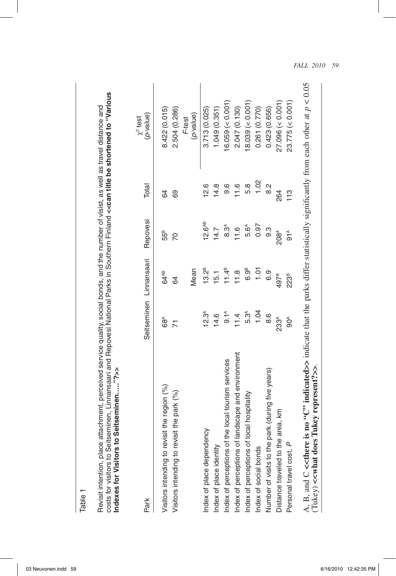Table 1

Revisit intention, place attachment, perceived service quality, social bonds, and the number of visist, as well as travel distance and<br>costs for visitors to Seitseminen, Linnansaari and Repovesi National Parks in Southern costs for visitors to Seitseminen, Linnansaari and Repovesi National Parks in Southern Finland **<<can title be shortened to "Various**  Revisit intention, place attachment, perceived service quality, social bonds, and the number of visist, as well as travel distance and **Indexes for Visitors to Seitseminen….."?>>**

| Park                                               |                  | Seitseminen Linnansaari Repovesi |                  | Total          | (p-value)<br>$\chi^2$ test |  |
|----------------------------------------------------|------------------|----------------------------------|------------------|----------------|----------------------------|--|
| Visitors intending to revisit the region (%)       | 68^              | 64 <sup>AB</sup>                 | 55 <sup>B</sup>  | 64             | 8.422 (0.015)              |  |
| Visitors intending to revisit the park (%)         | π                | 84                               | R                | 69             | 2.504 (0.286)              |  |
|                                                    |                  | Mean                             |                  |                | (p-value)<br>F-test        |  |
| Index of place dependency                          | $12.3^{\circ}$   | $13.2^{B}$                       | $12.6^{AB}$      | 12.6           | 3.713 (0.025)              |  |
| Index of place identity                            | 14.6             | 15.1                             | 14.7             | 14.8           | 1.049 (0.351)              |  |
| Index of perceptions of the local tourism services | $9.1^4$          | 11.4 <sup>B</sup>                | $8.3^{\circ}$    | 9.6            | 6.059 (< 0.001)            |  |
| Index of perceptions of landscape and environment  | 11.4             | 11.8                             | 11.6             | 11.6           | 2.047 (0.130)              |  |
| Index of perceptions of local hospitality          | 5.3 <sup>A</sup> | 6.9 <sup>B</sup>                 | 5.6 <sup>A</sup> | 5.8            | 8.039 (< 0.001)            |  |
| Index of social bonds                              | 1.04             | $\overline{0}$                   | 0.97             | 1.02           | 0.261 (0.770)              |  |
| Number of visits to the park (during five years)   | 8.6              | <u>၀</u>                         | က္ပ              | 28             | 0.423(0.656)               |  |
| Distance traveled to the area, km                  | $233^{\circ}$    | 497 <sup>B</sup>                 | 208 <sup>A</sup> | 264            | 27.096 (< 0.001)           |  |
| Personal travel cost, P                            | §ბ               | 223 <sup>B</sup>                 | $\frac{4}{5}$    | $\frac{3}{11}$ | 23.775 (< 0.001)           |  |

A, B, and C  $\lt$  chere is no "C" indicated>> indicate that the parks differ statistically significantly from each other at *p*  $\lt$  0.05 i<br>i ō. ž, muncate that the A, B, and  $\cup$  <<meters no " $\cup$ " indicated><br>(Tukey) <<what does Tukey represent?>>. (Tukey) **<<what does Tukey represent?>>**.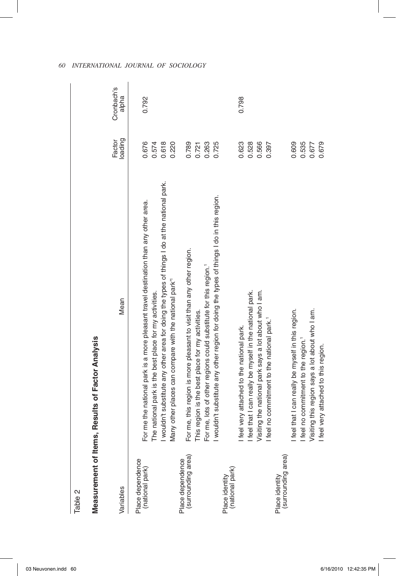| Table 2                                |                                                                                                                                                                                                                                                                                                         |                                  |                     |
|----------------------------------------|---------------------------------------------------------------------------------------------------------------------------------------------------------------------------------------------------------------------------------------------------------------------------------------------------------|----------------------------------|---------------------|
| Measurement of                         | Items, Results of Factor Analysis                                                                                                                                                                                                                                                                       |                                  |                     |
| Variables                              | Mean                                                                                                                                                                                                                                                                                                    | loading<br>Factor                | Cronbach's<br>alpha |
| Place dependence<br>(national park)    | I wouldn't substitute any other area for doing the types of things I do at the national park.<br>For me the national park is a more pleasant travel destination than any other area.<br>Many other places can compare with the national park"<br>The national park is the best place for my activities. | 0.676<br>0.618<br>0.574<br>0.220 | 0.792               |
| (surrounding area)<br>Place dependence | I wouldn't substitute any other region for doing the types of things I do in this region.<br>For me, this region is more pleasant to visit than any other region.<br>For me, lots of other regions could substitute for this region. <sup>1</sup><br>This region is the best place for my activities.   | 0.789<br>0.263<br>0.725<br>0.721 |                     |
| (national park)<br>Place identity      | Visiting the national park says a lot about who I am.<br>I feel that I can really be myself in the national park.<br>I feel no commitment to the national park. <sup>1</sup><br>I feel very attached to the national park.                                                                              | 0.623<br>0.528<br>0.566<br>0.397 | 0.798               |
| (surrounding area)<br>Place identity   | I feel that I can really be myself in this region.<br>Visiting this region says a lot about who I am.<br>I feel no commitment to the region. <sup>1</sup><br>I feel very attached to this region.                                                                                                       | 0.609<br>0.535<br>0.679<br>0.677 |                     |

I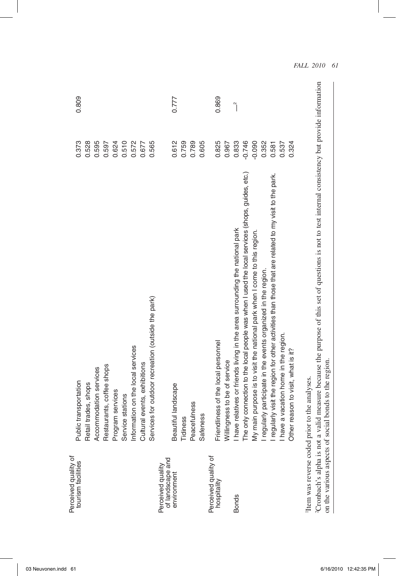| Perceived quality of<br>tourism facilities | Public transportation                                                                                                                                                                   | 0.373    | 0.809       |
|--------------------------------------------|-----------------------------------------------------------------------------------------------------------------------------------------------------------------------------------------|----------|-------------|
|                                            | Retail trades, shops                                                                                                                                                                    | 0.528    |             |
|                                            | Accommodation services                                                                                                                                                                  | 0.595    |             |
|                                            | Restaurants, coffee shops                                                                                                                                                               | 0.597    |             |
|                                            | Program services                                                                                                                                                                        | 0.624    |             |
|                                            | Service stations                                                                                                                                                                        | 0.510    |             |
|                                            | Information on the local services                                                                                                                                                       | 0.572    |             |
|                                            | Cultural events, exhibitions                                                                                                                                                            | 0.677    |             |
|                                            | Services for outdoor recreation (outside the park)                                                                                                                                      | 0.565    |             |
| of landscape and<br>Perceived quality      |                                                                                                                                                                                         |          |             |
| environment                                | Beautiful landscape                                                                                                                                                                     | 0.612    | 0.777       |
|                                            | Tidiness                                                                                                                                                                                | 0.759    |             |
|                                            | Peacefulness                                                                                                                                                                            | 0.789    |             |
|                                            | <b>Safeness</b>                                                                                                                                                                         | 0.605    |             |
| Perceived quality of                       |                                                                                                                                                                                         |          |             |
| hospitality                                | Friendliness of the local personnel                                                                                                                                                     | 0.825    | 0.869       |
|                                            | Willingness to be of service                                                                                                                                                            | 0.967    |             |
| <b>Bonds</b>                               | have relatives or friends living in the area surrounding the national park                                                                                                              | 0.833    | $\tilde{ }$ |
|                                            | The only connection to the local people was when I used the local services (shops, guides, etc.)                                                                                        | $-0.746$ |             |
|                                            | My main purpose is to visit the national park when I come to this region                                                                                                                | $-0.090$ |             |
|                                            | regularly participate in the events organized in the region.                                                                                                                            | 0.352    |             |
|                                            | regularly visit the region for other activities than those that are related to my visit to the park.                                                                                    | 0.581    |             |
|                                            | have a vacation home in the region.                                                                                                                                                     | 0.537    |             |
|                                            | Other reason to visit, what is it?                                                                                                                                                      | 0.324    |             |
|                                            | Item was reverse coded prior to the analyses.                                                                                                                                           |          |             |
| <sup>2</sup> Cronbach's alpha              | is not a valid measure because the purpose of this set of questions is not to test internal consistency but provide information<br>on the various aspects of social bonds to the region |          |             |

*FALL 2010 61*

 $\overline{\phantom{a}}$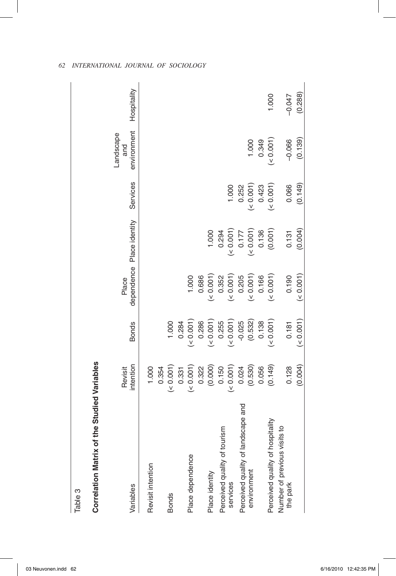| Table 3                                     |                      |              |         |                           |          |                                 |             |
|---------------------------------------------|----------------------|--------------|---------|---------------------------|----------|---------------------------------|-------------|
| Correlation Matrix of the Studied Variables |                      |              |         |                           |          |                                 |             |
| Variables                                   | intention<br>Revisit | <b>Bonds</b> | Place   | dependence Place identity | Services | environment<br>Landscape<br>and | Hospitality |
| Revisit intention                           | 1.000                |              |         |                           |          |                                 |             |
|                                             | 0.354                |              |         |                           |          |                                 |             |
| <b>Bonds</b>                                | (0.001)              | 1.000        |         |                           |          |                                 |             |
|                                             | 0.331                | 0.284        |         |                           |          |                                 |             |
| Place dependence                            | (0.001)              | (0.001)      | 1.000   |                           |          |                                 |             |
|                                             | 0.322                | 0.286        | 0.686   |                           |          |                                 |             |
| Place identity                              | (0.000)              | (0.001)      | (0.001) | 1.000                     |          |                                 |             |
| Perceived quality of tourism                | 0.150                | 0.255        | 0.352   | 0.294                     |          |                                 |             |
| services                                    | (0.001)              | (0.001)      | (0.001) | (0.001)                   | 1.000    |                                 |             |
| Perceived quality of landscape and          | 0.024                | $-0.025$     | 0.205   | 0.177                     | 0.252    |                                 |             |
| environment                                 | (0.530)              | (0.532)      | (0.001) | (0.001)                   | (0.001)  | 1.000                           |             |
|                                             | 0.056                | 0.138        | 0.166   | 0.136                     | 0.423    | 0.349                           |             |
| Perceived quality of hospitality            | (0.149)              | (0.001)      | (0.001) | (0.001)                   | (0.001)  | (0.001)                         | 1.000       |
| Number of previous visits to                |                      |              |         |                           |          |                                 |             |
| the park                                    | 0.128                | 0.181        | 0.190   | 0.131                     | 0.066    | $-0.066$                        | $-0.047$    |
|                                             | (0.004)              | (0.001)      | (0.001) | (0.004)                   | (0.149)  | (0.139)                         | (0.288)     |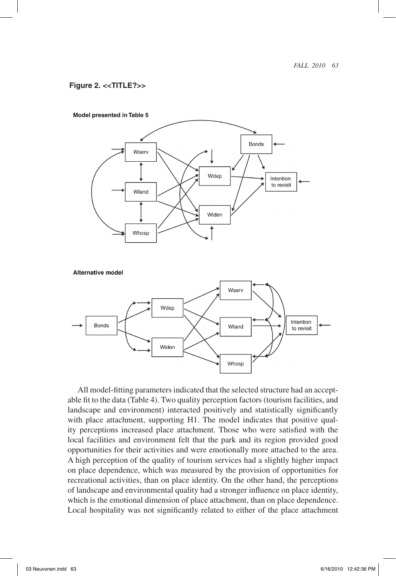## **Figure 2. <<TITLE?>>**



**Alternative model** Wserv Wdep Intention Bonds Wland to revisit Widen Whosp

All model-fitting parameters indicated that the selected structure had an acceptable fit to the data (Table 4). Two quality perception factors (tourism facilities, and landscape and environment) interacted positively and statistically significantly with place attachment, supporting H1. The model indicates that positive quality perceptions increased place attachment. Those who were satisfied with the local facilities and environment felt that the park and its region provided good opportunities for their activities and were emotionally more attached to the area. A high perception of the quality of tourism services had a slightly higher impact on place dependence, which was measured by the provision of opportunities for recreational activities, than on place identity. On the other hand, the perceptions of landscape and environmental quality had a stronger influence on place identity, which is the emotional dimension of place attachment, than on place dependence. Local hospitality was not significantly related to either of the place attachment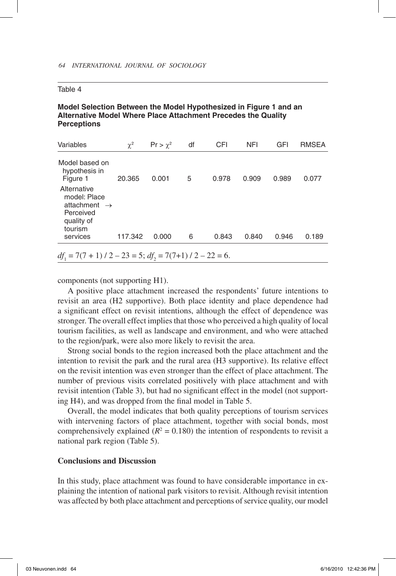#### Table 4

## **Model Selection Between the Model Hypothesized in Figure 1 and an Alternative Model Where Place Attachment Precedes the Quality Perceptions**

| Variables                                                                                                    | $\chi^2$ | $Pr > \gamma^2$ | df | CFI   | <b>NFI</b> | GFI   | <b>RMSEA</b> |
|--------------------------------------------------------------------------------------------------------------|----------|-----------------|----|-------|------------|-------|--------------|
| Model based on<br>hypothesis in<br>Figure 1                                                                  | 20.365   | 0.001           | 5  | 0.978 | 0.909      | 0.989 | 0.077        |
| Alternative<br>model: Place<br>attachment<br>$\rightarrow$<br>Perceived<br>quality of<br>tourism<br>services | 117.342  | 0.000           | 6  | 0.843 | 0.840      | 0.946 | 0.189        |
| $df_1 = 7(7 + 1)$ / 2 – 23 = 5; $df_2 = 7(7+1)$ / 2 – 22 = 6.                                                |          |                 |    |       |            |       |              |

components (not supporting H1).

A positive place attachment increased the respondents' future intentions to revisit an area (H2 supportive). Both place identity and place dependence had a significant effect on revisit intentions, although the effect of dependence was stronger. The overall effect implies that those who perceived a high quality of local tourism facilities, as well as landscape and environment, and who were attached to the region/park, were also more likely to revisit the area.

Strong social bonds to the region increased both the place attachment and the intention to revisit the park and the rural area (H3 supportive). Its relative effect on the revisit intention was even stronger than the effect of place attachment. The number of previous visits correlated positively with place attachment and with revisit intention (Table 3), but had no significant effect in the model (not supporting H4), and was dropped from the final model in Table 5.

Overall, the model indicates that both quality perceptions of tourism services with intervening factors of place attachment, together with social bonds, most comprehensively explained  $(R^2 = 0.180)$  the intention of respondents to revisit a national park region (Table 5).

## **Conclusions and Discussion**

In this study, place attachment was found to have considerable importance in explaining the intention of national park visitors to revisit. Although revisit intention was affected by both place attachment and perceptions of service quality, our model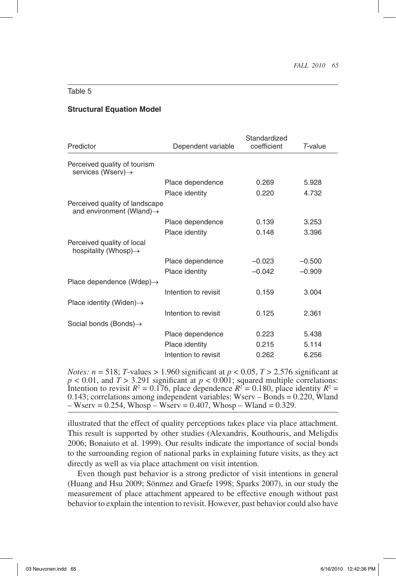#### Table 5

#### **Structural Equation Model**

| Predictor                                                               | Dependent variable   | Standardized<br>coefficient | T-value  |
|-------------------------------------------------------------------------|----------------------|-----------------------------|----------|
| Perceived quality of tourism<br>services (Wserv) $\rightarrow$          |                      |                             |          |
|                                                                         | Place dependence     | 0.269                       | 5.928    |
|                                                                         | Place identity       | 0.220                       | 4.732    |
| Perceived quality of landscape<br>and environment (Wland) $\rightarrow$ |                      |                             |          |
|                                                                         | Place dependence     | 0.139                       | 3.253    |
|                                                                         | Place identity       | 0.148                       | 3.396    |
| Perceived quality of local<br>hospitality (Whosp) $\rightarrow$         |                      |                             |          |
|                                                                         | Place dependence     | $-0.023$                    | $-0.500$ |
|                                                                         | Place identity       | $-0.042$                    | $-0.909$ |
| Place dependence (Wdep) $\rightarrow$                                   |                      |                             |          |
|                                                                         | Intention to revisit | 0.159                       | 3.004    |
| Place identity (Widen) $\rightarrow$                                    |                      |                             |          |
|                                                                         | Intention to revisit | 0.125                       | 2.361    |
| Social bonds (Bonds) $\rightarrow$                                      |                      |                             |          |
|                                                                         | Place dependence     | 0.223                       | 5.438    |
|                                                                         | Place identity       | 0.215                       | 5.114    |
|                                                                         | Intention to revisit | 0.262                       | 6.256    |

*Notes:*  $n = 518$ ; *T*-values > 1.960 significant at  $p < 0.05$ ,  $T > 2.576$  significant at  $p < 0.01$ , and  $T > 3.291$  significant at  $p < 0.001$ ; squared multiple correlations: Intention to revisit  $R^2 = 0.176$ , place dependence  $R^2 = 0.180$ , place identity  $R^2 = 0.180$ 0.143; correlations among independent variables: Wserv – Bonds = 0.220, Wland  $-$  Wserv = 0.254, Whosp – Wserv = 0.407, Whosp – Wland = 0.329.

illustrated that the effect of quality perceptions takes place via place attachment. This result is supported by other studies (Alexandris, Kouthouris, and Meligdis 2006; Bonaiuto et al. 1999). Our results indicate the importance of social bonds to the surrounding region of national parks in explaining future visits, as they act directly as well as via place attachment on visit intention.

Even though past behavior is a strong predictor of visit intentions in general (Huang and Hsu 2009; Sönmez and Graefe 1998; Sparks 2007), in our study the measurement of place attachment appeared to be effective enough without past behavior to explain the intention to revisit. However, past behavior could also have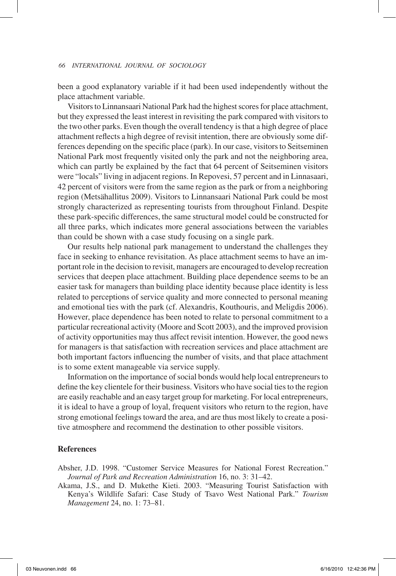been a good explanatory variable if it had been used independently without the place attachment variable.

Visitors to Linnansaari National Park had the highest scores for place attachment, but they expressed the least interest in revisiting the park compared with visitors to the two other parks. Even though the overall tendency is that a high degree of place attachment reflects a high degree of revisit intention, there are obviously some differences depending on the specific place (park). In our case, visitors to Seitseminen National Park most frequently visited only the park and not the neighboring area, which can partly be explained by the fact that 64 percent of Seitseminen visitors were "locals" living in adjacent regions. In Repovesi, 57 percent and in Linnasaari, 42 percent of visitors were from the same region as the park or from a neighboring region (Metsähallitus 2009). Visitors to Linnansaari National Park could be most strongly characterized as representing tourists from throughout Finland. Despite these park-specific differences, the same structural model could be constructed for all three parks, which indicates more general associations between the variables than could be shown with a case study focusing on a single park.

Our results help national park management to understand the challenges they face in seeking to enhance revisitation. As place attachment seems to have an important role in the decision to revisit, managers are encouraged to develop recreation services that deepen place attachment. Building place dependence seems to be an easier task for managers than building place identity because place identity is less related to perceptions of service quality and more connected to personal meaning and emotional ties with the park (cf. Alexandris, Kouthouris, and Meligdis 2006). However, place dependence has been noted to relate to personal commitment to a particular recreational activity (Moore and Scott 2003), and the improved provision of activity opportunities may thus affect revisit intention. However, the good news for managers is that satisfaction with recreation services and place attachment are both important factors influencing the number of visits, and that place attachment is to some extent manageable via service supply.

Information on the importance of social bonds would help local entrepreneurs to define the key clientele for their business. Visitors who have social ties to the region are easily reachable and an easy target group for marketing. For local entrepreneurs, it is ideal to have a group of loyal, frequent visitors who return to the region, have strong emotional feelings toward the area, and are thus most likely to create a positive atmosphere and recommend the destination to other possible visitors.

## **References**

Absher, J.D. 1998. "Customer Service Measures for National Forest Recreation." *Journal of Park and Recreation Administration* 16, no. 3: 31–42.

Akama, J.S., and D. Mukethe Kieti. 2003. "Measuring Tourist Satisfaction with Kenya's Wildlife Safari: Case Study of Tsavo West National Park." *Tourism Management* 24, no. 1: 73–81.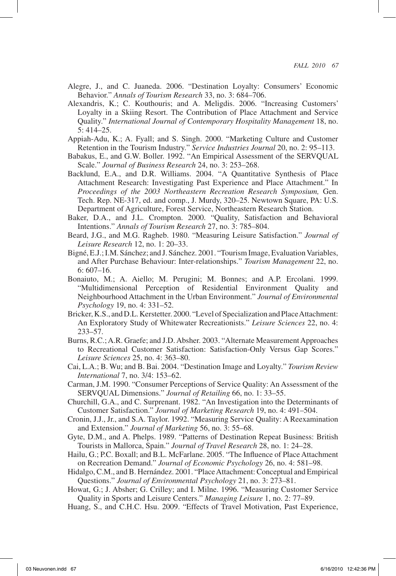- Alegre, J., and C. Juaneda. 2006. "Destination Loyalty: Consumers' Economic Behavior." *Annals of Tourism Research* 33, no. 3: 684–706.
- Alexandris, K.; C. Kouthouris; and A. Meligdis. 2006. "Increasing Customers' Loyalty in a Skiing Resort. The Contribution of Place Attachment and Service Quality." *International Journal of Contemporary Hospitality Management* 18, no. 5: 414–25.
- Appiah-Adu, K.; A. Fyall; and S. Singh. 2000. "Marketing Culture and Customer Retention in the Tourism Industry." *Service Industries Journal* 20, no. 2: 95–113.
- Babakus, E., and G.W. Boller. 1992. "An Empirical Assessment of the SERVQUAL Scale." *Journal of Business Research* 24, no. 3: 253–268.
- Backlund, E.A., and D.R. Williams. 2004. "A Quantitative Synthesis of Place Attachment Research: Investigating Past Experience and Place Attachment." In *Proceedings of the 2003 Northeastern Recreation Research Symposium,* Gen. Tech. Rep. NE-317, ed. and comp., J. Murdy, 320–25. Newtown Square, PA: U.S. Department of Agriculture, Forest Service, Northeastern Research Station.
- Baker, D.A., and J.L. Crompton. 2000. "Quality, Satisfaction and Behavioral Intentions." *Annals of Tourism Research* 27, no. 3: 785–804.
- Beard, J.G., and M.G. Ragheb. 1980. "Measuring Leisure Satisfaction." *Journal of Leisure Research* 12, no. 1: 20–33.
- Bigné, E.J.; I.M. Sánchez; and J. Sánchez. 2001. "Tourism Image, Evaluation Variables, and After Purchase Behaviour: Inter-relationships." *Tourism Management* 22, no. 6: 607–16.
- Bonaiuto, M.; A. Aiello; M. Perugini; M. Bonnes; and A.P. Ercolani. 1999. "Multidimensional Perception of Residential Environment Quality and Neighbourhood Attachment in the Urban Environment." *Journal of Environmental Psychology* 19, no. 4: 331–52.
- Bricker, K.S., and D.L. Kerstetter. 2000. "Level of Specialization and Place Attachment: An Exploratory Study of Whitewater Recreationists." *Leisure Sciences* 22, no. 4: 233–57.
- Burns, R.C.; A.R. Graefe; and J.D. Absher. 2003. "Alternate Measurement Approaches to Recreational Customer Satisfaction: Satisfaction-Only Versus Gap Scores." *Leisure Sciences* 25, no. 4: 363–80.
- Cai, L.A.; B. Wu; and B. Bai. 2004. "Destination Image and Loyalty." *Tourism Review International* 7, no. 3/4: 153–62.
- Carman, J.M. 1990. "Consumer Perceptions of Service Quality: An Assessment of the SERVQUAL Dimensions." *Journal of Retailing* 66, no. 1: 33–55.
- Churchill, G.A., and C. Surprenant. 1982. "An Investigation into the Determinants of Customer Satisfaction." *Journal of Marketing Research* 19, no. 4: 491–504.
- Cronin, J.J., Jr., and S.A. Taylor. 1992. "Measuring Service Quality: A Reexamination and Extension." *Journal of Marketing* 56, no. 3: 55–68.
- Gyte, D.M., and A. Phelps. 1989. "Patterns of Destination Repeat Business: British Tourists in Mallorca, Spain." *Journal of Travel Research* 28, no. 1: 24–28.
- Hailu, G.; P.C. Boxall; and B.L. McFarlane. 2005. "The Influence of Place Attachment on Recreation Demand." *Journal of Economic Psychology* 26, no. 4: 581–98.
- Hidalgo, C.M., and B. Hernández. 2001. "Place Attachment: Conceptual and Empirical Questions." *Journal of Environmental Psychology* 21, no. 3: 273–81.
- Howat, G.; J. Absher; G. Crilley; and I. Milne. 1996. "Measuring Customer Service Quality in Sports and Leisure Centers." *Managing Leisure* 1, no. 2: 77–89.
- Huang, S., and C.H.C. Hsu. 2009. "Effects of Travel Motivation, Past Experience,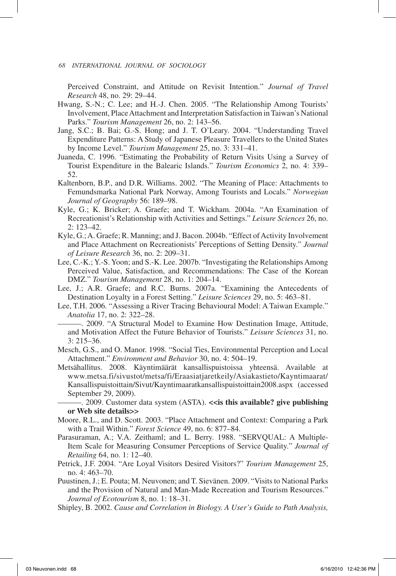Perceived Constraint, and Attitude on Revisit Intention." *Journal of Travel Research* 48, no. 29: 29–44.

- Hwang, S.-N.; C. Lee; and H.-J. Chen. 2005. "The Relationship Among Tourists' Involvement, Place Attachment and Interpretation Satisfaction in Taiwan's National Parks." *Tourism Management* 26, no. 2: 143–56.
- Jang, S.C.; B. Bai; G.-S. Hong; and J. T. O'Leary. 2004. "Understanding Travel Expenditure Patterns: A Study of Japanese Pleasure Travellers to the United States by Income Level." *Tourism Management* 25, no. 3: 331–41.
- Juaneda, C. 1996. "Estimating the Probability of Return Visits Using a Survey of Tourist Expenditure in the Balearic Islands." *Tourism Economics* 2, no. 4: 339– 52.
- Kaltenborn, B.P., and D.R. Williams. 2002. "The Meaning of Place: Attachments to Femundsmarka National Park Norway, Among Tourists and Locals." *Norwegian Journal of Geography* 56: 189–98.
- Kyle, G.; K. Bricker; A. Graefe; and T. Wickham. 2004a. "An Examination of Recreationist's Relationship with Activities and Settings." *Leisure Sciences* 26, no. 2: 123–42.
- Kyle, G.; A. Graefe; R. Manning; and J. Bacon. 2004b. "Effect of Activity Involvement and Place Attachment on Recreationists' Perceptions of Setting Density." *Journal of Leisure Research* 36, no. 2: 209–31.
- Lee, C.-K.; Y.-S. Yoon; and S.-K. Lee. 2007b. "Investigating the Relationships Among Perceived Value, Satisfaction, and Recommendations: The Case of the Korean DMZ." *Tourism Management* 28, no. 1: 204–14.
- Lee, J.; A.R. Graefe; and R.C. Burns. 2007a. "Examining the Antecedents of Destination Loyalty in a Forest Setting." *Leisure Sciences* 29, no. 5: 463–81.
- Lee, T.H. 2006. "Assessing a River Tracing Behavioural Model: A Taiwan Example." *Anatolia* 17, no. 2: 322–28.
	- ———. 2009. "A Structural Model to Examine How Destination Image, Attitude, and Motivation Affect the Future Behavior of Tourists." *Leisure Sciences* 31, no. 3: 215–36.
- Mesch, G.S., and O. Manor. 1998. "Social Ties, Environmental Perception and Local Attachment." *Environment and Behavior* 30, no. 4: 504–19.
- Metsähallitus. 2008. Käyntimäärät kansallispuistoissa yhteensä. Available at www.metsa.fi/sivustot/metsa/fi/Eraasiatjaretkeily/Asiakastieto/Kayntimaarat/ Kansallispuistoittain/Sivut/Kayntimaaratkansallispuistoittain2008.aspx (accessed September 29, 2009).

———. 2009. Customer data system (ASTA). **<<is this available? give publishing or Web site details>>**

- Moore, R.L., and D. Scott. 2003. "Place Attachment and Context: Comparing a Park with a Trail Within." *Forest Science* 49, no. 6: 877–84.
- Parasuraman, A.; V.A. Zeithaml; and L. Berry. 1988. "SERVQUAL: A Multiple-Item Scale for Measuring Consumer Perceptions of Service Quality." *Journal of Retailing* 64, no. 1: 12–40.
- Petrick, J.F. 2004. "Are Loyal Visitors Desired Visitors?" *Tourism Management* 25, no. 4: 463–70.
- Puustinen, J.; E. Pouta; M. Neuvonen; and T. Sievänen. 2009. "Visits to National Parks and the Provision of Natural and Man-Made Recreation and Tourism Resources." *Journal of Ecotourism* 8, no. 1: 18–31.

Shipley, B. 2002. *Cause and Correlation in Biology. A User's Guide to Path Analysis,*